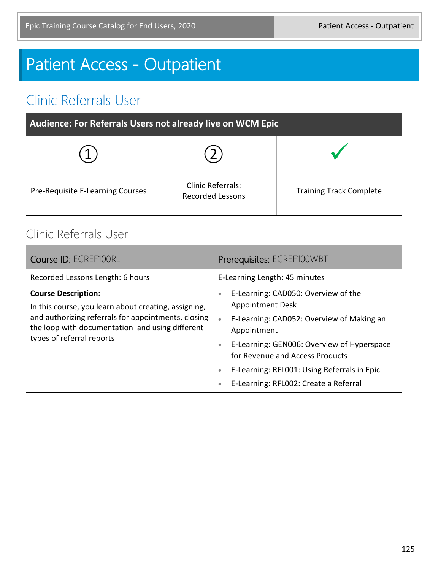# Patient Access - Outpatient

### Clinic Referrals User

| Audience: For Referrals Users not already live on WCM Epic |                                                     |                                |
|------------------------------------------------------------|-----------------------------------------------------|--------------------------------|
|                                                            |                                                     |                                |
| Pre-Requisite E-Learning Courses                           | <b>Clinic Referrals:</b><br><b>Recorded Lessons</b> | <b>Training Track Complete</b> |

#### Clinic Referrals User

| Course ID: ECREF100RL                                                                                                                                                                                                     | Prerequisites: ECREF100WBT                                                                                                                                                                                                                                                                                                                                           |  |
|---------------------------------------------------------------------------------------------------------------------------------------------------------------------------------------------------------------------------|----------------------------------------------------------------------------------------------------------------------------------------------------------------------------------------------------------------------------------------------------------------------------------------------------------------------------------------------------------------------|--|
| Recorded Lessons Length: 6 hours                                                                                                                                                                                          | E-Learning Length: 45 minutes                                                                                                                                                                                                                                                                                                                                        |  |
| <b>Course Description:</b><br>In this course, you learn about creating, assigning,<br>and authorizing referrals for appointments, closing<br>the loop with documentation and using different<br>types of referral reports | E-Learning: CAD050: Overview of the<br>$\bullet$<br><b>Appointment Desk</b><br>E-Learning: CAD052: Overview of Making an<br>$\bullet$<br>Appointment<br>E-Learning: GEN006: Overview of Hyperspace<br>$\bullet$<br>for Revenue and Access Products<br>E-Learning: RFL001: Using Referrals in Epic<br>$\bullet$<br>E-Learning: RFL002: Create a Referral<br>$\bullet$ |  |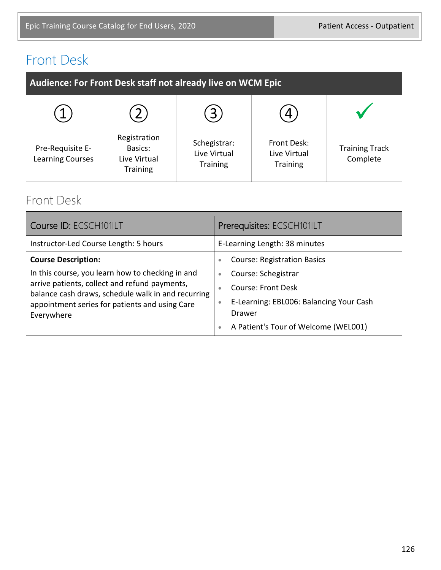### Front Desk

| Audience: For Front Desk staff not already live on WCM Epic |                                                            |                                                 |                                                |                                   |
|-------------------------------------------------------------|------------------------------------------------------------|-------------------------------------------------|------------------------------------------------|-----------------------------------|
|                                                             |                                                            | 3                                               |                                                |                                   |
| Pre-Requisite E-<br><b>Learning Courses</b>                 | Registration<br>Basics:<br>Live Virtual<br><b>Training</b> | Schegistrar:<br>Live Virtual<br><b>Training</b> | Front Desk:<br>Live Virtual<br><b>Training</b> | <b>Training Track</b><br>Complete |

#### Front Desk

| Course ID: ECSCH101ILT                                                                                                                                                                                                                                | Prerequisites: ECSCH101ILT                                                                                                                                                                                                                           |  |
|-------------------------------------------------------------------------------------------------------------------------------------------------------------------------------------------------------------------------------------------------------|------------------------------------------------------------------------------------------------------------------------------------------------------------------------------------------------------------------------------------------------------|--|
| Instructor-Led Course Length: 5 hours                                                                                                                                                                                                                 | E-Learning Length: 38 minutes                                                                                                                                                                                                                        |  |
| <b>Course Description:</b><br>In this course, you learn how to checking in and<br>arrive patients, collect and refund payments,<br>balance cash draws, schedule walk in and recurring<br>appointment series for patients and using Care<br>Everywhere | <b>Course: Registration Basics</b><br>$\bullet$<br>Course: Schegistrar<br>$\bullet$<br><b>Course: Front Desk</b><br>$\bullet$<br>E-Learning: EBL006: Balancing Your Cash<br>$\bullet$<br>Drawer<br>A Patient's Tour of Welcome (WEL001)<br>$\bullet$ |  |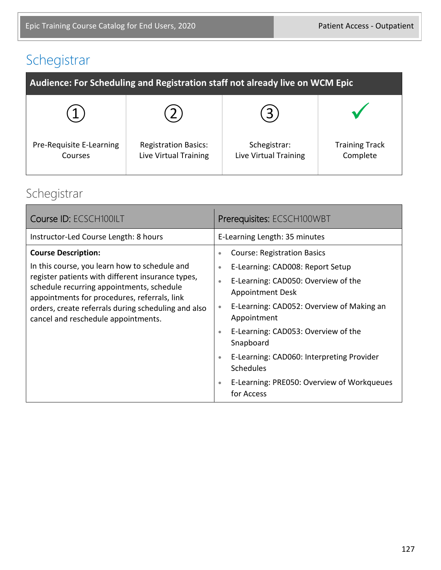# Schegistrar

| Audience: For Scheduling and Registration staff not already live on WCM Epic |                                                      |                                       |                                   |
|------------------------------------------------------------------------------|------------------------------------------------------|---------------------------------------|-----------------------------------|
|                                                                              |                                                      | 3                                     |                                   |
| Pre-Requisite E-Learning<br>Courses                                          | <b>Registration Basics:</b><br>Live Virtual Training | Schegistrar:<br>Live Virtual Training | <b>Training Track</b><br>Complete |

### Schegistrar

| Course ID: ECSCH100ILT                                                                                                                                                                                                                                                                                                      | Prerequisites: ECSCH100WBT                                                                                                                                                                                                                                                                                                                                                                                                                                               |  |
|-----------------------------------------------------------------------------------------------------------------------------------------------------------------------------------------------------------------------------------------------------------------------------------------------------------------------------|--------------------------------------------------------------------------------------------------------------------------------------------------------------------------------------------------------------------------------------------------------------------------------------------------------------------------------------------------------------------------------------------------------------------------------------------------------------------------|--|
| Instructor-Led Course Length: 8 hours                                                                                                                                                                                                                                                                                       | E-Learning Length: 35 minutes                                                                                                                                                                                                                                                                                                                                                                                                                                            |  |
| <b>Course Description:</b><br>In this course, you learn how to schedule and<br>register patients with different insurance types,<br>schedule recurring appointments, schedule<br>appointments for procedures, referrals, link<br>orders, create referrals during scheduling and also<br>cancel and reschedule appointments. | <b>Course: Registration Basics</b><br>۰<br>E-Learning: CAD008: Report Setup<br>$\bullet$<br>E-Learning: CAD050: Overview of the<br>$\bullet$<br><b>Appointment Desk</b><br>E-Learning: CAD052: Overview of Making an<br>$\bullet$<br>Appointment<br>E-Learning: CAD053: Overview of the<br>$\bullet$<br>Snapboard<br>E-Learning: CAD060: Interpreting Provider<br>$\bullet$<br><b>Schedules</b><br>E-Learning: PRE050: Overview of Workqueues<br>$\bullet$<br>for Access |  |